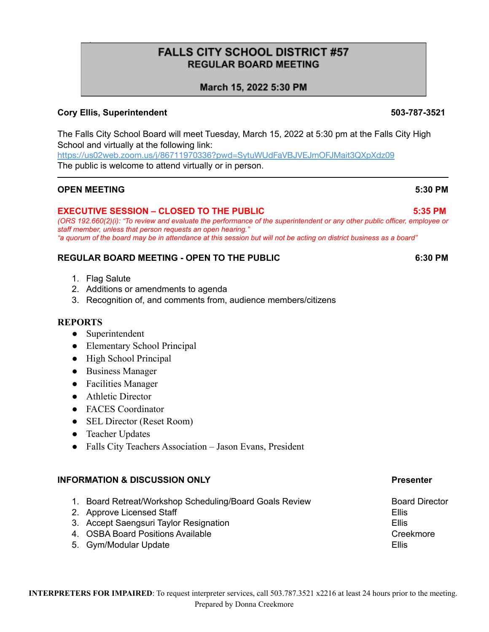# **FALLS CITY SCHOOL DISTRICT #57 REGULAR BOARD MEETING**

# March 15, 2022 5:30 PM

# **Cory Ellis, Superintendent 503-787-3521**

The Falls City School Board will meet Tuesday, March 15, 2022 at 5:30 pm at the Falls City High School and virtually at the following link:

<https://us02web.zoom.us/j/86711970336?pwd=SytuWUdFaVBJVEJmOFJMait3QXpXdz09> The public is welcome to attend virtually or in person.

### **OPEN MEETING 5:30 PM**

\*

### **EXECUTIVE SESSION – CLOSED TO THE PUBLIC 5:35 PM**

*(ORS 192.660(2)(i): "To review and evaluate the performance of the superintendent or any other public officer, employee or staff member, unless that person requests an open hearing." "a quorum of the board may be in attendance at this session but will not be acting on district business as a board"*

# **REGULAR BOARD MEETING - OPEN TO THE PUBLIC 6:30 PM**

- 1. Flag Salute
- 2. Additions or amendments to agenda
- 3. Recognition of, and comments from, audience members/citizens

#### **REPORTS**

- Superintendent
- Elementary School Principal
- High School Principal
- Business Manager
- Facilities Manager
- Athletic Director
- FACES Coordinator
- SEL Director (Reset Room)
- Teacher Updates
- Falls City Teachers Association Jason Evans, President

#### **INFORMATION & DISCUSSION ONLY Presenter**

- 1. Board Retreat/Workshop Scheduling/Board Goals Review **Board Board Director**
- 2. Approve Licensed Staff Ellis and the state of the state of the state of the state of the state of the state of the state of the state of the state of the state of the state of the state of the state of the state of the
- 3. Accept Saengsuri Taylor Resignation **Ellis** Ellis
- 4. OSBA Board Positions Available Creekmore Creekmore
- 5. Gym/Modular Update **Ellis**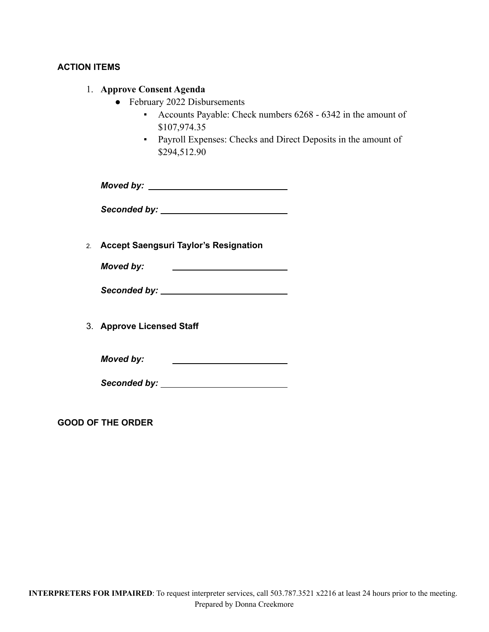# **ACTION ITEMS**

### 1. **Approve Consent Agenda**

- February 2022 Disbursements
	- Accounts Payable: Check numbers 6268 6342 in the amount of \$107,974.35
	- Payroll Expenses: Checks and Direct Deposits in the amount of \$294,512.90

*Moved by:*

*Seconded by:*

2. **Accept Saengsuri Taylor's Resignation**

*Moved by:* <u> The Communication of the Communication</u>

3. **Approve Licensed Staff**

*Moved by:* <u> 1980 - Johann Stein, mars an t-Amerikaansk kommunister (</u>

*Seconded by:*

**GOOD OF THE ORDER**